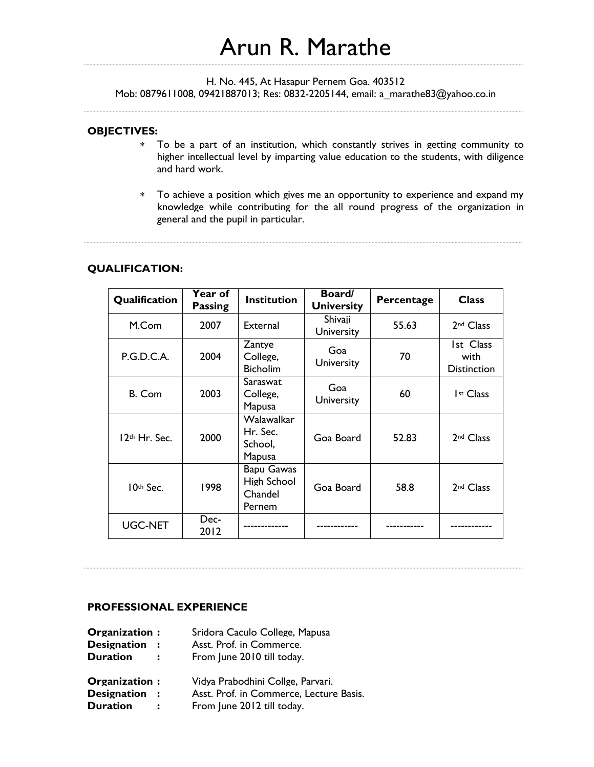# Arun R. Marathe

H. No. 445, At Hasapur Pernem Goa. 403512

Mob: 0879611008, 09421887013; Res: 0832-2205144, email: a\_marathe83@yahoo.co.in

#### **OBJECTIVES:**

- To be a part of an institution, which constantly strives in getting community to higher intellectual level by imparting value education to the students, with diligence and hard work.
- To achieve a position which gives me an opportunity to experience and expand my knowledge while contributing for the all round progress of the organization in general and the pupil in particular.

#### **QUALIFICATION:**

| Qualification             | <b>Year of</b><br><b>Passing</b> | <b>Institution</b>                                           | Board/<br><b>University</b>  | Percentage | <b>Class</b>                                   |
|---------------------------|----------------------------------|--------------------------------------------------------------|------------------------------|------------|------------------------------------------------|
| M.Com                     | 2007                             | External                                                     | Shivaji<br><b>University</b> | 55.63      | 2 <sup>nd</sup> Class                          |
| P.G.D.C.A.                | 2004                             | Zantye<br>College,<br><b>Bicholim</b>                        | Goa<br><b>University</b>     | 70         | <b>Ist Class</b><br>with<br><b>Distinction</b> |
| B. Com                    | 2003                             | Saraswat<br>College,<br>Mapusa                               | Goa<br>University            | 60         | Ist Class                                      |
| 12 <sup>th</sup> Hr. Sec. | 2000                             | Walawalkar<br>Hr. Sec.<br>School.<br>Mapusa                  | Goa Board                    | 52.83      | 2 <sup>nd</sup> Class                          |
| $10th$ Sec.               | 1998                             | <b>Bapu Gawas</b><br>High School<br>Chandel<br><b>Pernem</b> | Goa Board                    | 58.8       | 2 <sup>nd</sup> Class                          |
| <b>UGC-NET</b>            | Dec-<br>2012                     |                                                              |                              |            |                                                |

### **PROFESSIONAL EXPERIENCE**

| Organization:      | Sridora Caculo College, Mapusa          |
|--------------------|-----------------------------------------|
| <b>Designation</b> | Asst. Prof. in Commerce.                |
| <b>Duration</b>    | From June 2010 till today.              |
| Organization:      | Vidya Prabodhini Collge, Parvari.       |
| <b>Designation</b> | Asst. Prof. in Commerce, Lecture Basis. |
| <b>Duration</b>    | From June 2012 till today.              |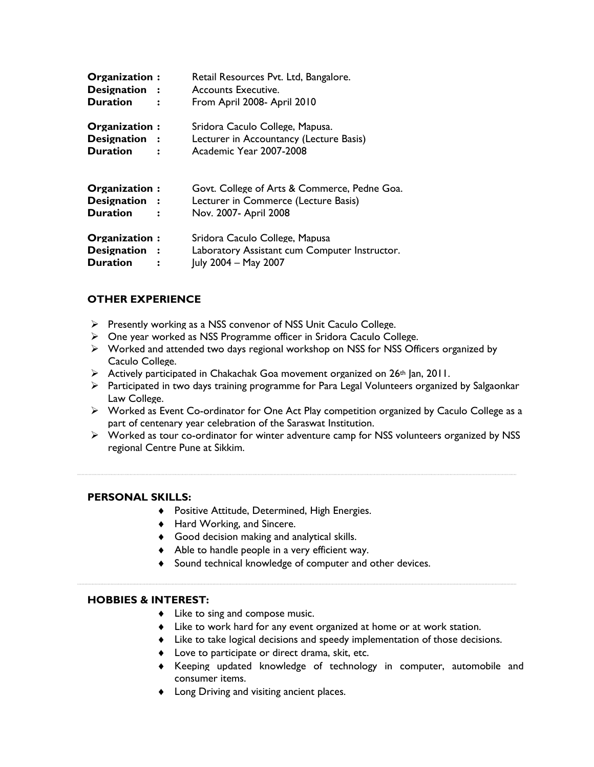| Organization:<br>Designation :<br><b>Duration</b> | Retail Resources Pvt. Ltd, Bangalore.<br>Accounts Executive.<br>From April 2008- April 2010                   |
|---------------------------------------------------|---------------------------------------------------------------------------------------------------------------|
| Organization:<br>Designation :<br><b>Duration</b> | Sridora Caculo College. Mapusa.<br>Lecturer in Accountancy (Lecture Basis)<br>Academic Year 2007-2008         |
| Organization:<br>Designation :<br><b>Duration</b> | Govt. College of Arts & Commerce, Pedne Goa.<br>Lecturer in Commerce (Lecture Basis)<br>Nov. 2007- April 2008 |
| Organization:<br>Designation :<br><b>Duration</b> | Sridora Caculo College, Mapusa<br>Laboratory Assistant cum Computer Instructor.<br>July 2004 - May 2007       |

## **OTHER EXPERIENCE**

- $\triangleright$  Presently working as a NSS convenor of NSS Unit Caculo College.
- One year worked as NSS Programme officer in Sridora Caculo College.
- Worked and attended two days regional workshop on NSS for NSS Officers organized by Caculo College.
- $\triangleright$  Actively participated in Chakachak Goa movement organized on 26<sup>th</sup> Jan, 2011.
- $\triangleright$  Participated in two days training programme for Para Legal Volunteers organized by Salgaonkar Law College.
- Worked as Event Co-ordinator for One Act Play competition organized by Caculo College as a part of centenary year celebration of the Saraswat Institution.
- Worked as tour co-ordinator for winter adventure camp for NSS volunteers organized by NSS regional Centre Pune at Sikkim.

## **PERSONAL SKILLS:**

- Positive Attitude, Determined, High Energies.
- ◆ Hard Working, and Sincere.
- Good decision making and analytical skills.
- Able to handle people in a very efficient way.
- Sound technical knowledge of computer and other devices.

#### **HOBBIES & INTEREST:**

- Like to sing and compose music.
- Like to work hard for any event organized at home or at work station.
- Like to take logical decisions and speedy implementation of those decisions.
- Love to participate or direct drama, skit, etc.
- Keeping updated knowledge of technology in computer, automobile and consumer items.
- Long Driving and visiting ancient places.